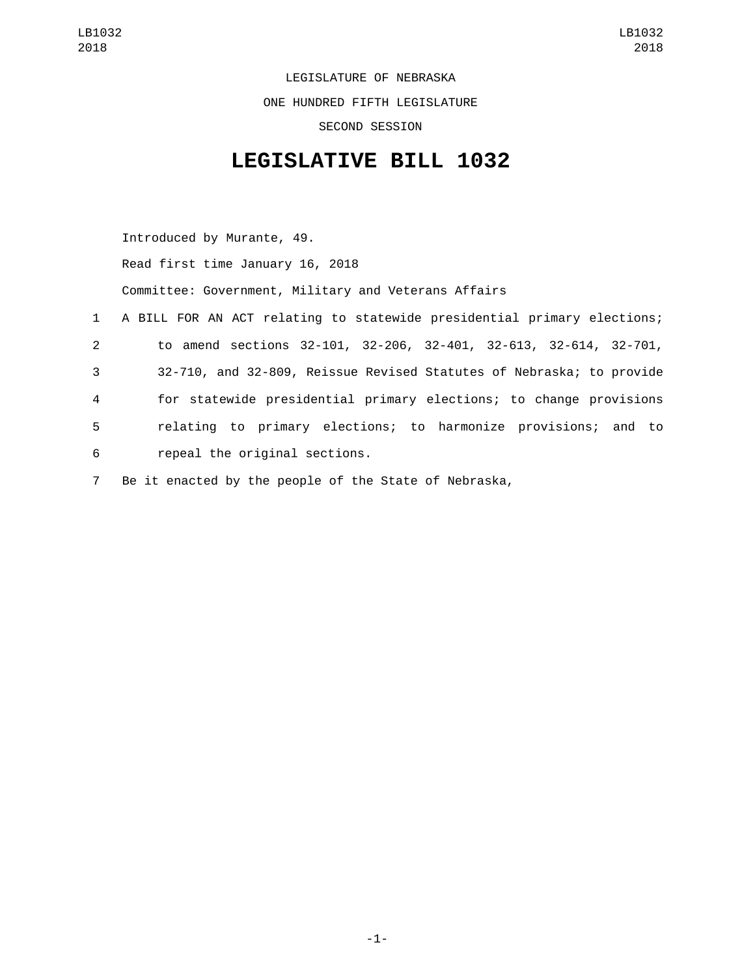LEGISLATURE OF NEBRASKA ONE HUNDRED FIFTH LEGISLATURE SECOND SESSION

## **LEGISLATIVE BILL 1032**

Introduced by Murante, 49. Read first time January 16, 2018 Committee: Government, Military and Veterans Affairs 1 A BILL FOR AN ACT relating to statewide presidential primary elections; 2 to amend sections 32-101, 32-206, 32-401, 32-613, 32-614, 32-701, 3 32-710, and 32-809, Reissue Revised Statutes of Nebraska; to provide 4 for statewide presidential primary elections; to change provisions

- 5 relating to primary elections; to harmonize provisions; and to
- 6 repeal the original sections.
- 7 Be it enacted by the people of the State of Nebraska,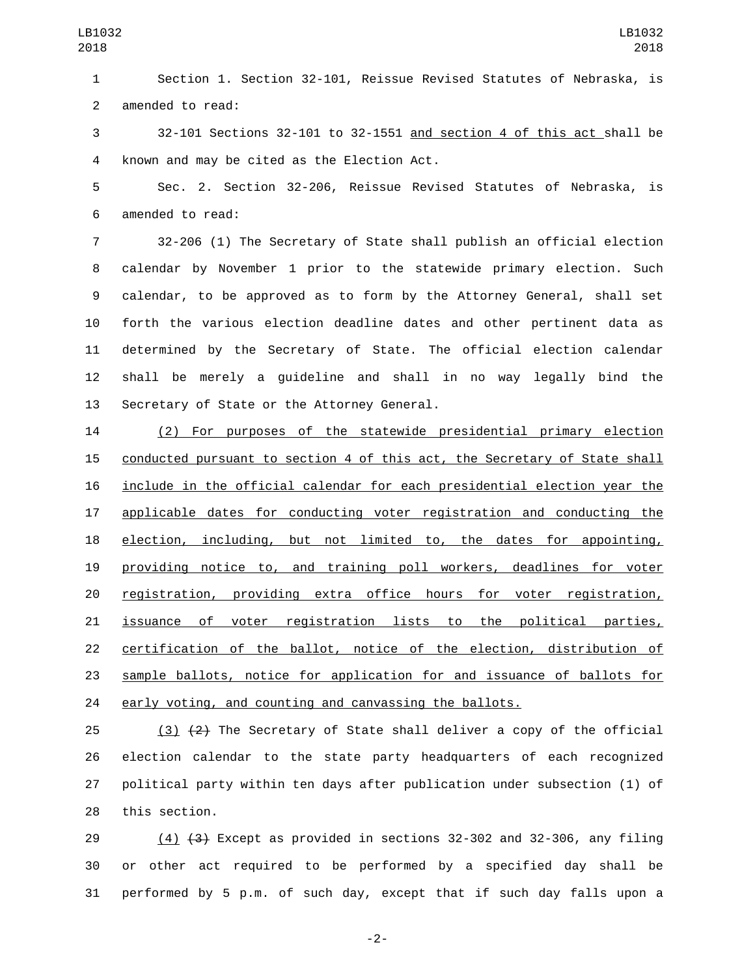Section 1. Section 32-101, Reissue Revised Statutes of Nebraska, is 2 amended to read:

 32-101 Sections 32-101 to 32-1551 and section 4 of this act shall be 4 known and may be cited as the Election Act.

 Sec. 2. Section 32-206, Reissue Revised Statutes of Nebraska, is 6 amended to read:

 32-206 (1) The Secretary of State shall publish an official election calendar by November 1 prior to the statewide primary election. Such calendar, to be approved as to form by the Attorney General, shall set forth the various election deadline dates and other pertinent data as determined by the Secretary of State. The official election calendar shall be merely a guideline and shall in no way legally bind the 13 Secretary of State or the Attorney General.

 (2) For purposes of the statewide presidential primary election conducted pursuant to section 4 of this act, the Secretary of State shall include in the official calendar for each presidential election year the applicable dates for conducting voter registration and conducting the election, including, but not limited to, the dates for appointing, providing notice to, and training poll workers, deadlines for voter registration, providing extra office hours for voter registration, issuance of voter registration lists to the political parties, certification of the ballot, notice of the election, distribution of sample ballots, notice for application for and issuance of ballots for early voting, and counting and canvassing the ballots.

 $(3)$   $(2)$  The Secretary of State shall deliver a copy of the official election calendar to the state party headquarters of each recognized political party within ten days after publication under subsection (1) of 28 this section.

29  $(4)$   $(3)$  Except as provided in sections 32-302 and 32-306, any filing or other act required to be performed by a specified day shall be performed by 5 p.m. of such day, except that if such day falls upon a

-2-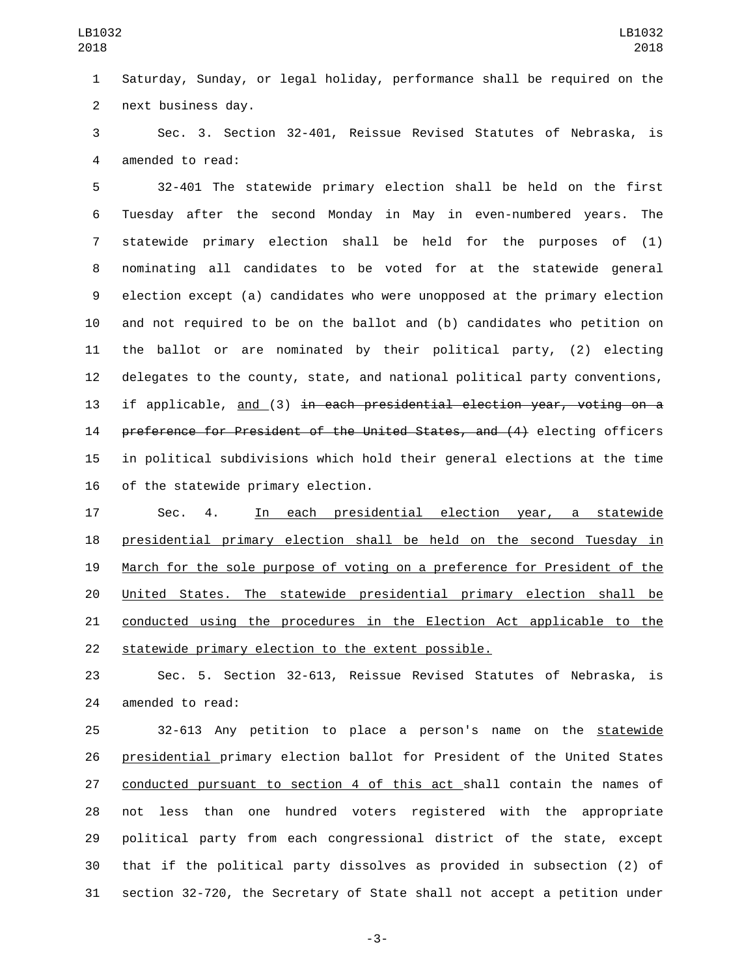Saturday, Sunday, or legal holiday, performance shall be required on the 2 next business day.

 Sec. 3. Section 32-401, Reissue Revised Statutes of Nebraska, is 4 amended to read:

 32-401 The statewide primary election shall be held on the first Tuesday after the second Monday in May in even-numbered years. The statewide primary election shall be held for the purposes of (1) nominating all candidates to be voted for at the statewide general election except (a) candidates who were unopposed at the primary election and not required to be on the ballot and (b) candidates who petition on the ballot or are nominated by their political party, (2) electing delegates to the county, state, and national political party conventions, if applicable, and (3) in each presidential election year, voting on a preference for President of the United States, and (4) electing officers in political subdivisions which hold their general elections at the time 16 of the statewide primary election.

 Sec. 4. In each presidential election year, a statewide presidential primary election shall be held on the second Tuesday in March for the sole purpose of voting on a preference for President of the United States. The statewide presidential primary election shall be conducted using the procedures in the Election Act applicable to the statewide primary election to the extent possible.

 Sec. 5. Section 32-613, Reissue Revised Statutes of Nebraska, is 24 amended to read:

 32-613 Any petition to place a person's name on the statewide presidential primary election ballot for President of the United States conducted pursuant to section 4 of this act shall contain the names of not less than one hundred voters registered with the appropriate political party from each congressional district of the state, except that if the political party dissolves as provided in subsection (2) of section 32-720, the Secretary of State shall not accept a petition under

-3-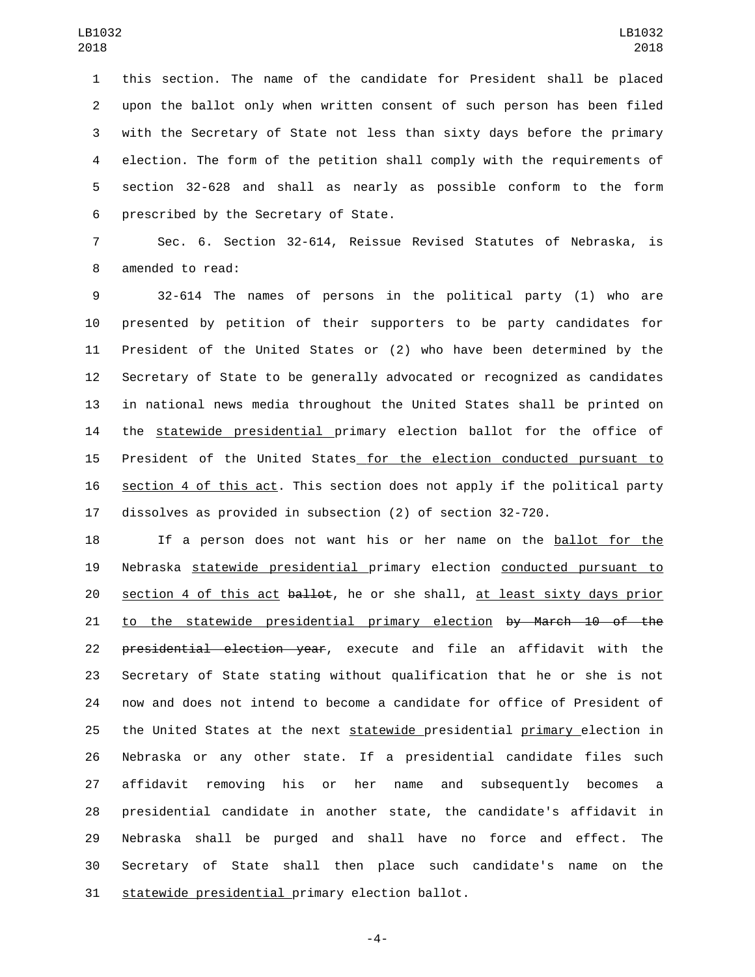this section. The name of the candidate for President shall be placed upon the ballot only when written consent of such person has been filed with the Secretary of State not less than sixty days before the primary election. The form of the petition shall comply with the requirements of section 32-628 and shall as nearly as possible conform to the form 6 prescribed by the Secretary of State.

 Sec. 6. Section 32-614, Reissue Revised Statutes of Nebraska, is 8 amended to read:

 32-614 The names of persons in the political party (1) who are presented by petition of their supporters to be party candidates for President of the United States or (2) who have been determined by the Secretary of State to be generally advocated or recognized as candidates in national news media throughout the United States shall be printed on the statewide presidential primary election ballot for the office of President of the United States for the election conducted pursuant to section 4 of this act. This section does not apply if the political party dissolves as provided in subsection (2) of section 32-720.

 If a person does not want his or her name on the ballot for the Nebraska statewide presidential primary election conducted pursuant to 20 section 4 of this act ballot, he or she shall, at least sixty days prior 21 to the statewide presidential primary election by March 10 of the 22 presidential election year, execute and file an affidavit with the Secretary of State stating without qualification that he or she is not now and does not intend to become a candidate for office of President of 25 the United States at the next statewide presidential primary election in Nebraska or any other state. If a presidential candidate files such affidavit removing his or her name and subsequently becomes a presidential candidate in another state, the candidate's affidavit in Nebraska shall be purged and shall have no force and effect. The Secretary of State shall then place such candidate's name on the 31 statewide presidential primary election ballot.

-4-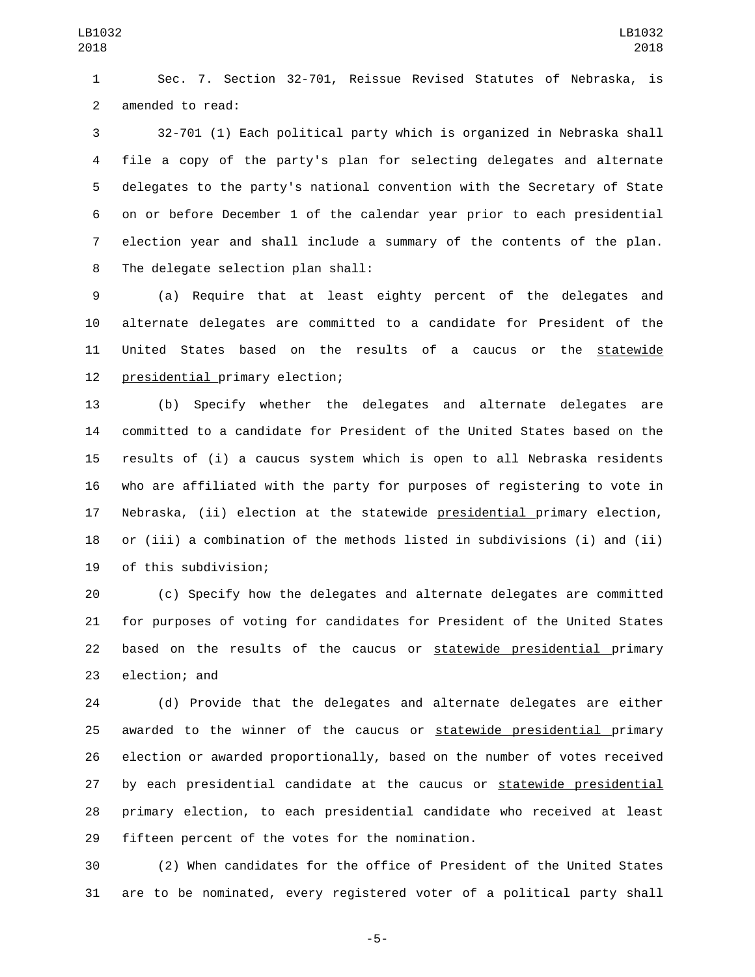Sec. 7. Section 32-701, Reissue Revised Statutes of Nebraska, is 2 amended to read:

 32-701 (1) Each political party which is organized in Nebraska shall file a copy of the party's plan for selecting delegates and alternate delegates to the party's national convention with the Secretary of State on or before December 1 of the calendar year prior to each presidential election year and shall include a summary of the contents of the plan. 8 The delegate selection plan shall:

 (a) Require that at least eighty percent of the delegates and alternate delegates are committed to a candidate for President of the United States based on the results of a caucus or the statewide 12 presidential primary election;

 (b) Specify whether the delegates and alternate delegates are committed to a candidate for President of the United States based on the results of (i) a caucus system which is open to all Nebraska residents who are affiliated with the party for purposes of registering to vote in 17 Nebraska, (ii) election at the statewide presidential primary election, or (iii) a combination of the methods listed in subdivisions (i) and (ii) 19 of this subdivision;

 (c) Specify how the delegates and alternate delegates are committed for purposes of voting for candidates for President of the United States based on the results of the caucus or statewide presidential primary 23 election; and

 (d) Provide that the delegates and alternate delegates are either awarded to the winner of the caucus or statewide presidential primary election or awarded proportionally, based on the number of votes received by each presidential candidate at the caucus or statewide presidential primary election, to each presidential candidate who received at least 29 fifteen percent of the votes for the nomination.

 (2) When candidates for the office of President of the United States are to be nominated, every registered voter of a political party shall

-5-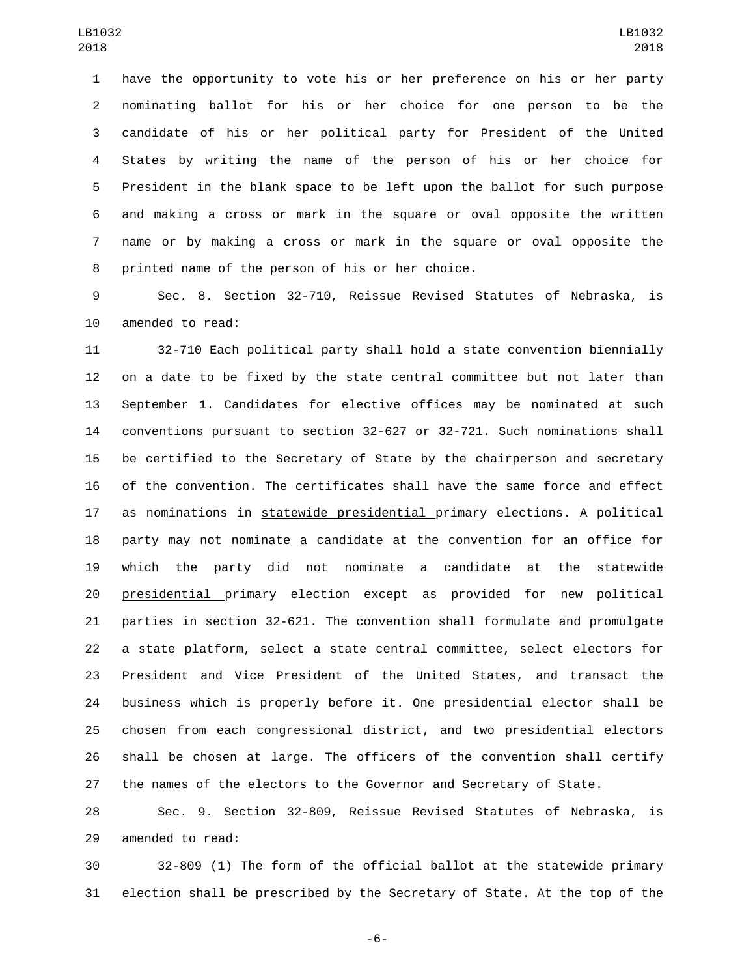have the opportunity to vote his or her preference on his or her party nominating ballot for his or her choice for one person to be the candidate of his or her political party for President of the United States by writing the name of the person of his or her choice for President in the blank space to be left upon the ballot for such purpose and making a cross or mark in the square or oval opposite the written name or by making a cross or mark in the square or oval opposite the 8 printed name of the person of his or her choice.

 Sec. 8. Section 32-710, Reissue Revised Statutes of Nebraska, is 10 amended to read:

 32-710 Each political party shall hold a state convention biennially on a date to be fixed by the state central committee but not later than September 1. Candidates for elective offices may be nominated at such conventions pursuant to section 32-627 or 32-721. Such nominations shall be certified to the Secretary of State by the chairperson and secretary of the convention. The certificates shall have the same force and effect 17 as nominations in statewide presidential primary elections. A political party may not nominate a candidate at the convention for an office for which the party did not nominate a candidate at the statewide presidential primary election except as provided for new political parties in section 32-621. The convention shall formulate and promulgate a state platform, select a state central committee, select electors for President and Vice President of the United States, and transact the business which is properly before it. One presidential elector shall be chosen from each congressional district, and two presidential electors shall be chosen at large. The officers of the convention shall certify the names of the electors to the Governor and Secretary of State.

 Sec. 9. Section 32-809, Reissue Revised Statutes of Nebraska, is 29 amended to read:

 32-809 (1) The form of the official ballot at the statewide primary election shall be prescribed by the Secretary of State. At the top of the

-6-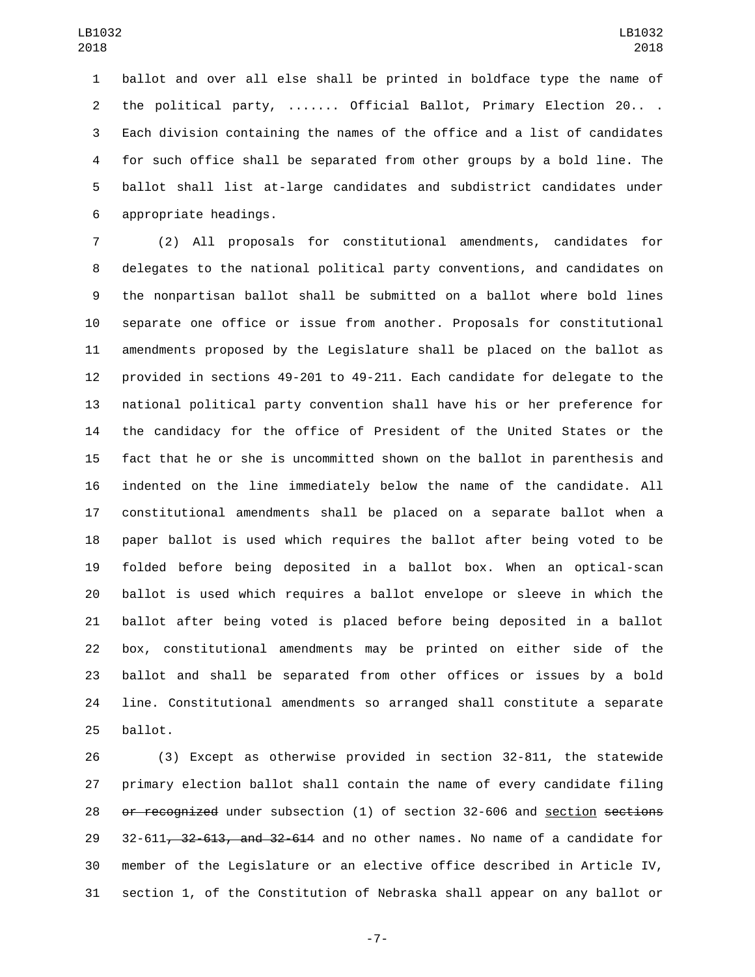ballot and over all else shall be printed in boldface type the name of the political party, ....... Official Ballot, Primary Election 20.. . Each division containing the names of the office and a list of candidates for such office shall be separated from other groups by a bold line. The ballot shall list at-large candidates and subdistrict candidates under appropriate headings.6

 (2) All proposals for constitutional amendments, candidates for delegates to the national political party conventions, and candidates on the nonpartisan ballot shall be submitted on a ballot where bold lines separate one office or issue from another. Proposals for constitutional amendments proposed by the Legislature shall be placed on the ballot as provided in sections 49-201 to 49-211. Each candidate for delegate to the national political party convention shall have his or her preference for the candidacy for the office of President of the United States or the fact that he or she is uncommitted shown on the ballot in parenthesis and indented on the line immediately below the name of the candidate. All constitutional amendments shall be placed on a separate ballot when a paper ballot is used which requires the ballot after being voted to be folded before being deposited in a ballot box. When an optical-scan ballot is used which requires a ballot envelope or sleeve in which the ballot after being voted is placed before being deposited in a ballot box, constitutional amendments may be printed on either side of the ballot and shall be separated from other offices or issues by a bold line. Constitutional amendments so arranged shall constitute a separate 25 ballot.

 (3) Except as otherwise provided in section 32-811, the statewide primary election ballot shall contain the name of every candidate filing 28 or recognized under subsection (1) of section 32-606 and section sections 32-611<del>, 32-613, and 32-614</del> and no other names. No name of a candidate for member of the Legislature or an elective office described in Article IV, section 1, of the Constitution of Nebraska shall appear on any ballot or

-7-